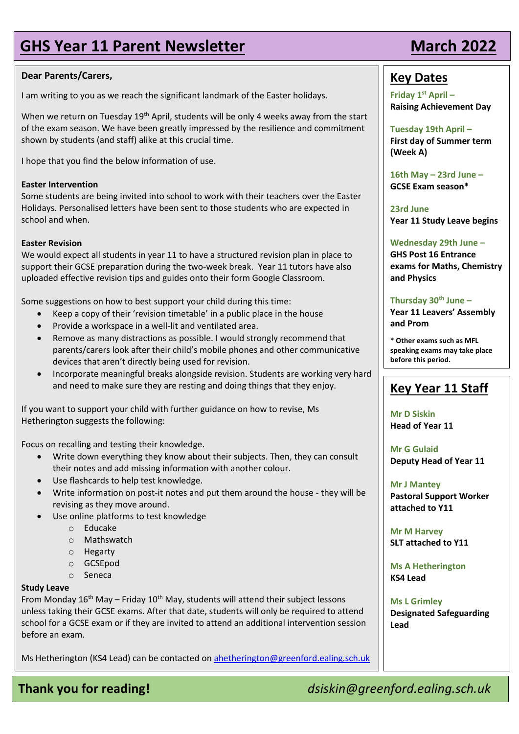# **GHS Year 11 Parent Newsletter March 2022**

### **Dear Parents/Carers,**

I am writing to you as we reach the significant landmark of the Easter holidays.

When we return on Tuesday 19<sup>th</sup> April, students will be only 4 weeks away from the start of the exam season. We have been greatly impressed by the resilience and commitment shown by students (and staff) alike at this crucial time.

I hope that you find the below information of use.

### **Easter Intervention**

Some students are being invited into school to work with their teachers over the Easter Holidays. Personalised letters have been sent to those students who are expected in school and when.

### **Easter Revision**

We would expect all students in year 11 to have a structured revision plan in place to support their GCSE preparation during the two-week break. Year 11 tutors have also uploaded effective revision tips and guides onto their form Google Classroom.

Some suggestions on how to best support your child during this time:

- Keep a copy of their 'revision timetable' in a public place in the house
- Provide a workspace in a well-lit and ventilated area.
- Remove as many distractions as possible. I would strongly recommend that parents/carers look after their child's mobile phones and other communicative devices that aren't directly being used for revision.
- Incorporate meaningful breaks alongside revision. Students are working very hard and need to make sure they are resting and doing things that they enjoy.

If you want to support your child with further guidance on how to revise, Ms Hetherington suggests the following:

Focus on recalling and testing their knowledge.

- Write down everything they know about their subjects. Then, they can consult their notes and add missing information with another colour.
- Use flashcards to help test knowledge.
- Write information on post-it notes and put them around the house they will be revising as they move around.
- Use online platforms to test knowledge
	- o Educake
	- o Mathswatch
	- o Hegarty
	- o GCSEpod
	- o Seneca

#### **Study Leave**

From Monday  $16^{th}$  May – Friday  $10^{th}$  May, students will attend their subject lessons unless taking their GCSE exams. After that date, students will only be required to attend school for a GCSE exam or if they are invited to attend an additional intervention session before an exam.

Ms Hetherington (KS4 Lead) can be contacted o[n ahetherington@greenford.ealing.sch.uk](mailto:ahetherington@greenford.ealing.sch.uk)

## **Key Dates**

**Friday 1st April – Raising Achievement Day**

**Tuesday 19th April – First day of Summer term (Week A)**

**16th May – 23rd June – GCSE Exam season\***

**23rd June Year 11 Study Leave begins** 

#### **Wednesday 29th June –**

**GHS Post 16 Entrance exams for Maths, Chemistry and Physics**

#### **Thursday 30th June –**

**Year 11 Leavers' Assembly and Prom**

**\* Other exams such as MFL speaking exams may take place before this period.**

## **Key Year 11 Staff**

**Mr D Siskin Head of Year 11**

**Mr G Gulaid Deputy Head of Year 11**

**Mr J Mantey Pastoral Support Worker attached to Y11**

**Mr M Harvey SLT attached to Y11**

**Ms A Hetherington KS4 Lead**

**Ms L Grimley Designated Safeguarding Lead**

**Thank you for reading!** *dsiskin@greenford.ealing.sch.uk*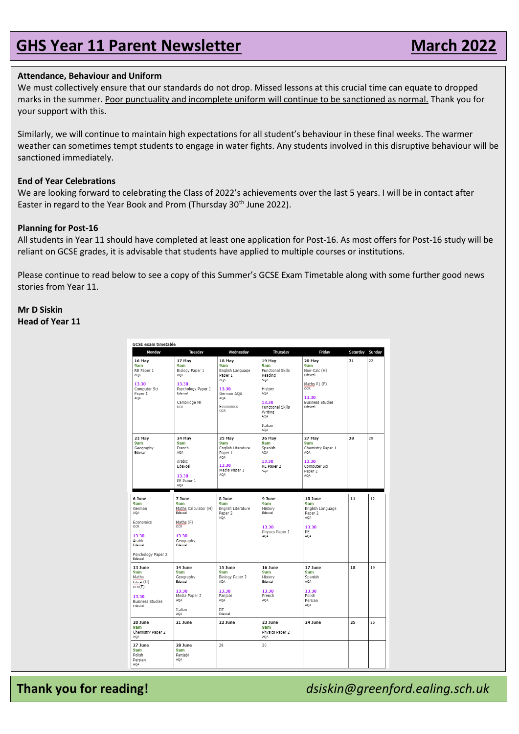# **GHS Year GHS Year 7 Parent Newsletter 11 Parent Newsletter January March 2022**

#### **Attendance, Behaviour and Uniform**

We must collectively ensure that our standards do not drop. Missed lessons at this crucial time can equate to dropped marks in the summer. Poor punctuality and incomplete uniform will continue to be sanctioned as normal. Thank you for your support with this.

Similarly, we will continue to maintain high expectations for all student's behaviour in these final weeks. The warmer weather can sometimes tempt students to engage in water fights. Any students involved in this disruptive behaviour will be sanctioned immediately.

#### **End of Year Celebrations**

We are looking forward to celebrating the Class of 2022's achievements over the last 5 years. I will be in contact after Easter in regard to the Year Book and Prom (Thursday 30<sup>th</sup> June 2022).

#### **Planning for Post-16**

All students in Year 11 should have completed at least one application for Post-16. As most offers for Post-16 study will be reliant on GCSE grades, it is advisable that students have applied to multiple courses or institutions.

Please continue to read below to see a copy of this Summer's GCSE Exam Timetable along with some further good news stories from Year 11.

**Mr D Siskin Head of Year 11**

| <b>GCSE exam timetable</b>                                                                                        |                                                                                                                 |                                                                                                                     |                                                                                                                                                        |                                                                                                                       |          |        |
|-------------------------------------------------------------------------------------------------------------------|-----------------------------------------------------------------------------------------------------------------|---------------------------------------------------------------------------------------------------------------------|--------------------------------------------------------------------------------------------------------------------------------------------------------|-----------------------------------------------------------------------------------------------------------------------|----------|--------|
| Monday                                                                                                            | Tuesday                                                                                                         | Wednesday                                                                                                           | Thursday                                                                                                                                               | Friday                                                                                                                | Saturday | Sunday |
| 16 May<br>9am<br>RE Paper 1<br>AQA<br>13.30<br>Computer Sci<br>Paper 1<br>AQA                                     | 17 May<br>9am<br>Biology Paper 1<br>AQA<br>13.30<br>Psychology Paper 1<br>Edexcel<br>Cambridge NT<br><b>OCR</b> | 18 May<br>9am<br>English Language<br>Paper 1<br>AQA<br>13.30<br>German AOA<br>AQA<br><b>Economics</b><br><b>OCR</b> | 19 May<br>9am<br><b>Functional Skills</b><br>Reading<br>AQA<br>History<br>AQA<br>13.30<br><b>Functional Skills</b><br>Writing<br>AQA<br>Italian<br>AQA | 20 May<br>9am<br>Non-Calc (H)<br>Edexcel<br>Maths P1 (F)<br><b>OCR</b><br>13.30<br><b>Business Studies</b><br>Edexcel | 21       | 22     |
| 23 May<br>9am<br>Geography<br>Edexcel                                                                             | 24 May<br>9am<br>French<br>AQA<br>Arahic<br>Edexcel<br>13.30<br>PE Paper 1<br>AQA                               | 25 May<br>9am<br>English Literature<br>Paper 1<br>AQA<br>13.30<br>Media Paper 1<br>AQA                              | 26 May<br>9am<br>Spanish<br>AQA<br>13.30<br>RE Paper 2<br>AQA                                                                                          | 27 May<br>9am<br>Chemistry Paper 1<br>AQA<br>13.30<br>Computer Sci<br>Paper 2<br>AQA                                  | 28       | 29     |
| 6 June<br>9am<br>German<br>AQA<br>Economics<br>OCR<br>13.30<br>Arabic<br>Edexcel<br>Psychology Paper 2<br>Edexcel | 7 June<br>9am<br>Maths Calculator (H)<br>Edexcel<br>Maths (F)<br>OCR<br>13.30<br>Geography<br>Edexcel           | 8 June<br>9am<br>English Literature<br>Paper 2<br>AQA                                                               | 9 June<br>9am<br>History<br>Edexcel<br>13.30<br>Physics Paper 1<br>AQA                                                                                 | 10 June<br>9am<br>English Language<br>Paper 2<br><b>AOA</b><br>13.30<br>PF<br>AQA                                     | 11       | 12     |
| 13 June<br>9am<br>Maths<br>Edxcel (H)<br>ocR(F)<br>13.30<br><b>Business Studies</b><br>Edexcel                    | 14 June<br>9am<br>Geography<br>Edexcel<br>13.30<br>Media Paper 2<br>AQA<br><b>Ttalian</b><br><b>AOA</b>         | 15 June<br>9am<br>Biology Paper 2<br><b>AOA</b><br>13.30<br>Paniabi<br>AQA<br>DT<br>Edexcel                         | 16 June<br>9am<br>History<br>Edexcel<br>13.30<br>French<br>AQA                                                                                         | 17 June<br><b>9am</b><br>Spanish<br>AQA<br>13.30<br>Polish<br>Persian<br>AQA                                          | 18       | 19     |
| 20 June<br>9am<br>Chemistry Paper 2<br>AQA                                                                        | 21 June                                                                                                         | 22 June                                                                                                             | 23 June<br>9am<br>Physics Paper 2<br>AQA                                                                                                               | 24 June                                                                                                               | 25       | 26     |
| 27 June<br>9am<br>Polish<br>Persian<br><b>AQA</b>                                                                 | 28 June<br>9am<br>Panjabi<br>AQA                                                                                | 29                                                                                                                  | 30                                                                                                                                                     |                                                                                                                       |          |        |

## **Thank you for reading!** *dsiskin@greenford.ealing.sch.uk*